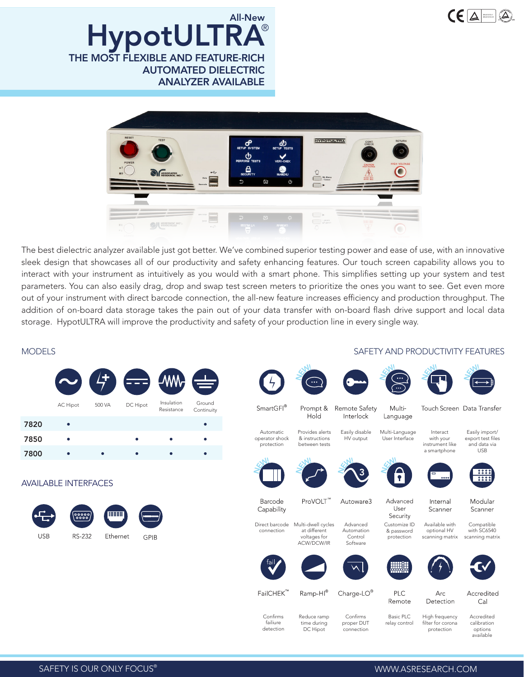

THE MOST FLEXIBLE AND FEATURE-RICH AUTOMATED DIELECTRIC ANALYZER AVAILABLE HypotULTRA All-New



The best dielectric analyzer available just got better. We've combined superior testing power and ease of use, with an innovative sleek design that showcases all of our productivity and safety enhancing features. Our touch screen capability allows you to interact with your instrument as intuitively as you would with a smart phone. This simplifies setting up your system and test parameters. You can also easily drag, drop and swap test screen meters to prioritize the ones you want to see. Get even more out of your instrument with direct barcode connection, the all-new feature increases efficiency and production throughput. The addition of on-board data storage takes the pain out of your data transfer with on-board flash drive support and local data storage. HypotULTRA will improve the productivity and safety of your production line in every single way.

> Confirms failiure detection

Reduce ramp time during DC Hipot



## MODELS SAFETY AND PRODUCTIVITY FEATURES

|  | $\cdots$ |
|--|----------|
|  |          |





Touch Screen Data Transfer

Interact with your Easily import/ export test files

instrument like a smartphone and data via USB





Modular Internal Scanner

Scanner Compatible

Available with optional HV scanning matrix with SC6540 scanning matrix







Arc Detection Accredited  $Ca$ 

High frequency filter for corona protection

Accredited calibration options available

SAFETY IS OUR ONLY FOCUS®

WWW.ASRESEARCH.COM

Basic PLC relay control

Remote

Confirms proper DUT connection